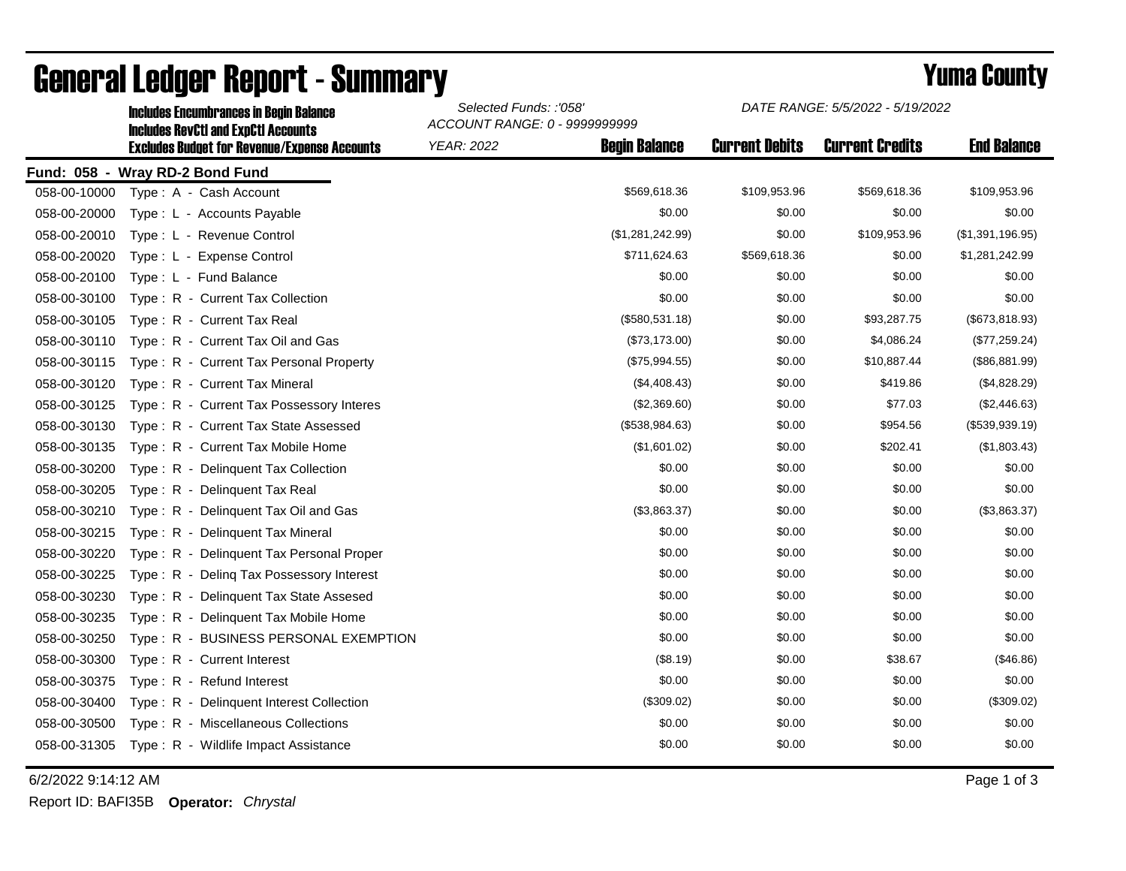|                                           | <b>Includes RevCtI and ExpCtI Accounts</b><br><b>Excludes Budget for Revenue/Expense Accounts</b> | ACCOUNT RANGE: 0 - 9999999999 |                      |                       |                        |                    |  |  |  |
|-------------------------------------------|---------------------------------------------------------------------------------------------------|-------------------------------|----------------------|-----------------------|------------------------|--------------------|--|--|--|
|                                           |                                                                                                   | <b>YEAR: 2022</b>             | <b>Begin Balance</b> | <b>Current Debits</b> | <b>Current Credits</b> | <b>End Balance</b> |  |  |  |
| Fund: 058 -<br><b>Wray RD-2 Bond Fund</b> |                                                                                                   |                               |                      |                       |                        |                    |  |  |  |
| 058-00-10000                              | Type: A - Cash Account                                                                            |                               | \$569,618.36         | \$109,953.96          | \$569,618.36           | \$109,953.96       |  |  |  |
| 058-00-20000                              | Type: L - Accounts Payable                                                                        |                               | \$0.00               | \$0.00                | \$0.00                 | \$0.00             |  |  |  |
| 058-00-20010                              | Type: L - Revenue Control                                                                         |                               | (\$1,281,242.99)     | \$0.00                | \$109,953.96           | (\$1,391,196.95)   |  |  |  |
| 058-00-20020                              | Type: L - Expense Control                                                                         |                               | \$711,624.63         | \$569,618.36          | \$0.00                 | \$1,281,242.99     |  |  |  |
| 058-00-20100                              | Type: L - Fund Balance                                                                            |                               | \$0.00               | \$0.00                | \$0.00                 | \$0.00             |  |  |  |
| 058-00-30100                              | Type: R - Current Tax Collection                                                                  |                               | \$0.00               | \$0.00                | \$0.00                 | \$0.00             |  |  |  |
| 058-00-30105                              | Type: R - Current Tax Real                                                                        |                               | (\$580,531.18)       | \$0.00                | \$93,287.75            | (\$673,818.93)     |  |  |  |
| 058-00-30110                              | Type: R - Current Tax Oil and Gas                                                                 |                               | (\$73,173.00)        | \$0.00                | \$4,086.24             | (\$77,259.24)      |  |  |  |
| 058-00-30115                              | Type: R - Current Tax Personal Property                                                           |                               | (\$75,994.55)        | \$0.00                | \$10,887.44            | (\$86,881.99)      |  |  |  |
| 058-00-30120                              | Type: R - Current Tax Mineral                                                                     |                               | (\$4,408.43)         | \$0.00                | \$419.86               | (\$4,828.29)       |  |  |  |
| 058-00-30125                              | Type: R - Current Tax Possessory Interes                                                          |                               | (\$2,369.60)         | \$0.00                | \$77.03                | (\$2,446.63)       |  |  |  |
| 058-00-30130                              | Type: R - Current Tax State Assessed                                                              |                               | (\$538,984.63)       | \$0.00                | \$954.56               | (\$539,939.19)     |  |  |  |
| 058-00-30135                              | Type: R - Current Tax Mobile Home                                                                 |                               | (\$1,601.02)         | \$0.00                | \$202.41               | (\$1,803.43)       |  |  |  |
| 058-00-30200                              | Type: R - Delinquent Tax Collection                                                               |                               | \$0.00               | \$0.00                | \$0.00                 | \$0.00             |  |  |  |
| 058-00-30205                              | Type: R - Delinquent Tax Real                                                                     |                               | \$0.00               | \$0.00                | \$0.00                 | \$0.00             |  |  |  |
| 058-00-30210                              | Type: R - Delinquent Tax Oil and Gas                                                              |                               | (\$3,863.37)         | \$0.00                | \$0.00                 | (\$3,863.37)       |  |  |  |
| 058-00-30215                              | Type: R - Delinquent Tax Mineral                                                                  |                               | \$0.00               | \$0.00                | \$0.00                 | \$0.00             |  |  |  |
| 058-00-30220                              | Type: R - Delinquent Tax Personal Proper                                                          |                               | \$0.00               | \$0.00                | \$0.00                 | \$0.00             |  |  |  |
| 058-00-30225                              | Type: R - Deling Tax Possessory Interest                                                          |                               | \$0.00               | \$0.00                | \$0.00                 | \$0.00             |  |  |  |
| 058-00-30230                              | Type: R - Delinquent Tax State Assesed                                                            |                               | \$0.00               | \$0.00                | \$0.00                 | \$0.00             |  |  |  |
| 058-00-30235                              | Type: R - Delinquent Tax Mobile Home                                                              |                               | \$0.00               | \$0.00                | \$0.00                 | \$0.00             |  |  |  |
| 058-00-30250                              | Type: R - BUSINESS PERSONAL EXEMPTION                                                             |                               | \$0.00               | \$0.00                | \$0.00                 | \$0.00             |  |  |  |
| 058-00-30300                              | Type: R - Current Interest                                                                        |                               | (\$8.19)             | \$0.00                | \$38.67                | (\$46.86)          |  |  |  |
| 058-00-30375                              | Type: R - Refund Interest                                                                         |                               | \$0.00               | \$0.00                | \$0.00                 | \$0.00             |  |  |  |
| 058-00-30400                              | Type: R - Delinquent Interest Collection                                                          |                               | (\$309.02)           | \$0.00                | \$0.00                 | (\$309.02)         |  |  |  |
| 058-00-30500                              | Type: R - Miscellaneous Collections                                                               |                               | \$0.00               | \$0.00                | \$0.00                 | \$0.00             |  |  |  |
| 058-00-31305                              | Type: R - Wildlife Impact Assistance                                                              |                               | \$0.00               | \$0.00                | \$0.00                 | \$0.00             |  |  |  |
|                                           |                                                                                                   |                               |                      |                       |                        |                    |  |  |  |

## General Ledger Report - Summary **Example 2018** Yuma County

Includes Encumbrances in Begin Balance *Selected Funds: :'058'*

6/2/2022 9:14:12 AM Page 1 of 3

Report ID: BAFI35B **Operator:** *Chrystal*

*DATE RANGE: 5/5/2022 - 5/19/2022*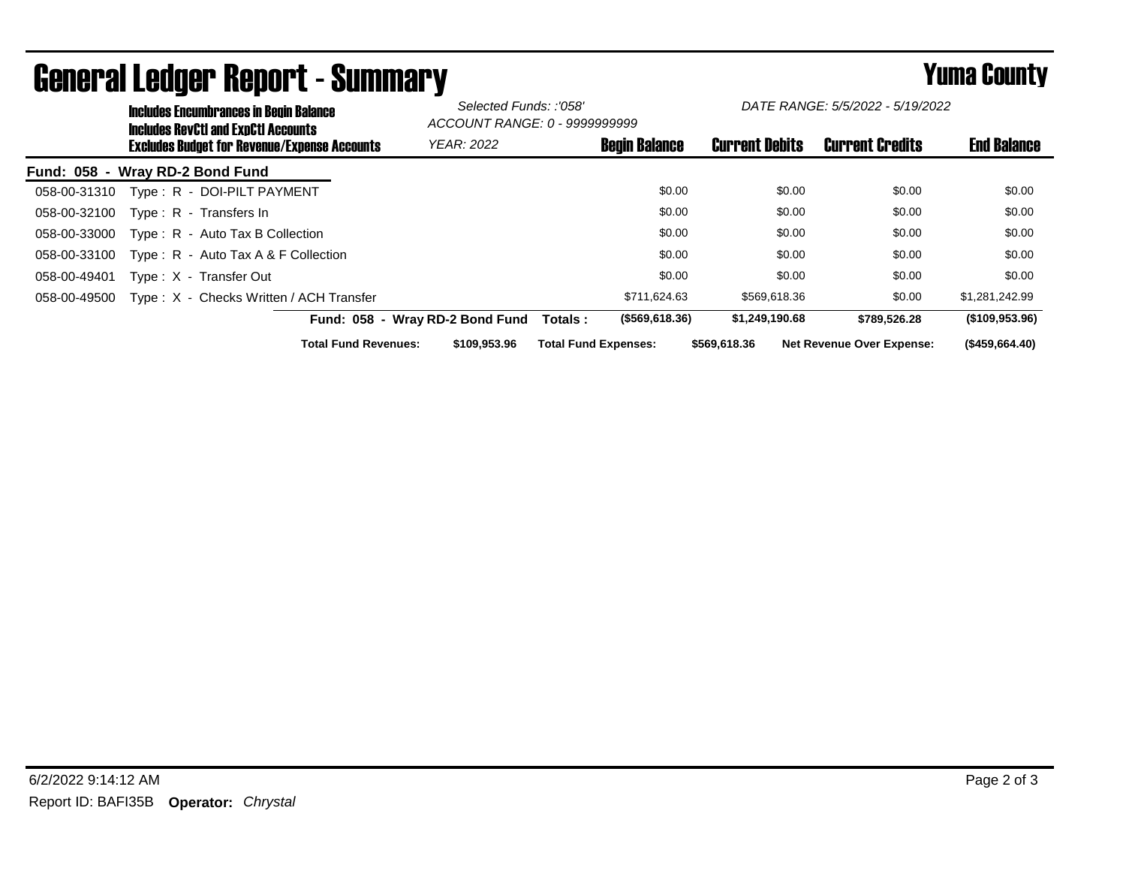| <b>Includes Encumbrances in Begin Balance</b><br><b>Includes RevCtI and ExpCtI Accounts</b> |                                 | Selected Funds: :'058'<br>ACCOUNT RANGE: 0 - 9999999999 |                       | DATE RANGE: 5/5/2022 - 5/19/2022 |                    |
|---------------------------------------------------------------------------------------------|---------------------------------|---------------------------------------------------------|-----------------------|----------------------------------|--------------------|
| <b>Excludes Budget for Revenue/Expense Accounts</b>                                         | <b>YEAR: 2022</b>               | <b>Begin Balance</b>                                    | <b>Current Debits</b> | <b>Current Credits</b>           | <b>End Balance</b> |
| Fund: 058 - Wray RD-2 Bond Fund                                                             |                                 |                                                         |                       |                                  |                    |
| Type: R - DOI-PILT PAYMENT<br>058-00-31310                                                  |                                 | \$0.00                                                  | \$0.00                | \$0.00                           | \$0.00             |
| Type: R - Transfers In<br>058-00-32100                                                      |                                 | \$0.00                                                  | \$0.00                | \$0.00                           | \$0.00             |
| Type: R - Auto Tax B Collection<br>058-00-33000                                             |                                 | \$0.00                                                  | \$0.00                | \$0.00                           | \$0.00             |
| Type: R - Auto Tax A & F Collection<br>058-00-33100                                         |                                 | \$0.00                                                  | \$0.00                | \$0.00                           | \$0.00             |
| Type: X - Transfer Out<br>058-00-49401                                                      |                                 | \$0.00                                                  | \$0.00                | \$0.00                           | \$0.00             |
| Type: X - Checks Written / ACH Transfer<br>058-00-49500                                     |                                 | \$711,624.63                                            | \$569,618.36          | \$0.00                           | \$1,281,242.99     |
|                                                                                             | Fund: 058 - Wray RD-2 Bond Fund | $($ \$569,618.36)<br>Totals :                           | \$1,249,190.68        | \$789,526.28                     | (\$109,953.96)     |
| <b>Total Fund Revenues:</b>                                                                 | \$109,953.96                    | <b>Total Fund Expenses:</b>                             | \$569.618.36          | <b>Net Revenue Over Expense:</b> | (\$459,664.40)     |

## General Ledger Report - Summary **Seneral Ledger Report - Summary**